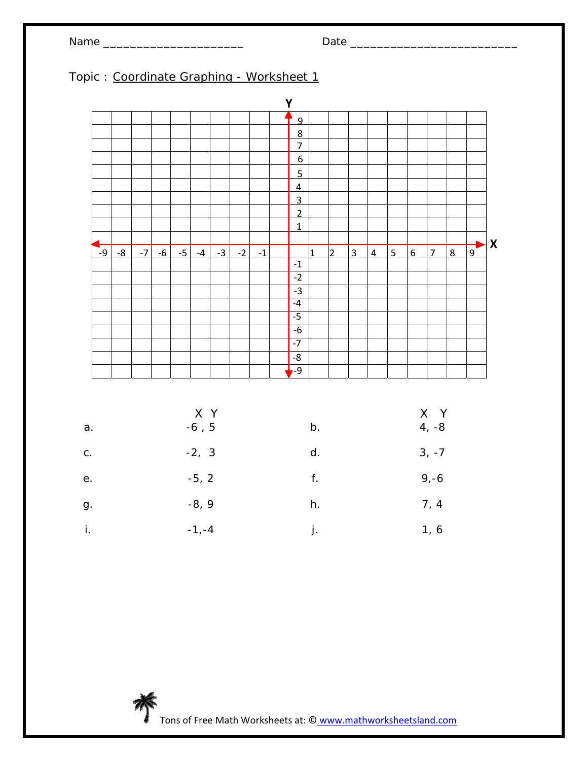

|               |      |  |         |                     |      |      |      | Y                                |                              |                |                |                |                |                 |                |                 |                |                    |
|---------------|------|--|---------|---------------------|------|------|------|----------------------------------|------------------------------|----------------|----------------|----------------|----------------|-----------------|----------------|-----------------|----------------|--------------------|
|               |      |  |         |                     |      |      |      | $\overline{9}$                   |                              |                |                |                |                |                 |                |                 |                |                    |
|               |      |  |         |                     |      |      |      | 8                                |                              |                |                |                |                |                 |                |                 |                |                    |
|               |      |  |         |                     |      |      |      | $\overline{7}$                   |                              |                |                |                |                |                 |                |                 |                |                    |
|               |      |  |         |                     |      |      |      | $6 \overline{}$                  |                              |                |                |                |                |                 |                |                 |                |                    |
|               |      |  |         |                     |      |      |      | $\overline{5}$                   |                              |                |                |                |                |                 |                |                 |                |                    |
|               |      |  |         |                     |      |      |      | $\overline{4}$<br>$\overline{3}$ |                              |                |                |                |                |                 |                |                 |                |                    |
|               |      |  |         |                     |      |      |      | $\overline{2}$                   |                              |                |                |                |                |                 |                |                 |                |                    |
|               |      |  |         |                     |      |      |      | $\overline{1}$                   |                              |                |                |                |                |                 |                |                 |                |                    |
|               |      |  |         |                     |      |      |      |                                  |                              |                |                |                |                |                 |                |                 |                | $\pmb{\mathsf{X}}$ |
| $-9$          | $-8$ |  |         | $-7$ $-6$ $-5$ $-4$ | $-3$ | $-2$ | $-1$ |                                  | $\overline{1}$               | $\overline{2}$ | $\overline{3}$ | $\overline{4}$ | $\overline{5}$ | $6 \overline{}$ | $\overline{7}$ | $8\overline{)}$ | $\overline{9}$ |                    |
|               |      |  |         |                     |      |      |      | $^{\mbox{-}}1$<br>$-2$           |                              |                |                |                |                |                 |                |                 |                |                    |
|               |      |  |         |                     |      |      |      | $-3$                             |                              |                |                |                |                |                 |                |                 |                |                    |
|               |      |  |         |                     |      |      |      | $-4$                             |                              |                |                |                |                |                 |                |                 |                |                    |
|               |      |  |         |                     |      |      |      | $-5$                             |                              |                |                |                |                |                 |                |                 |                |                    |
|               |      |  |         |                     |      |      |      | $-6$                             |                              |                |                |                |                |                 |                |                 |                |                    |
|               |      |  |         |                     |      |      |      | $-7$                             |                              |                |                |                |                |                 |                |                 |                |                    |
|               |      |  |         |                     |      |      |      | -8                               |                              |                |                |                |                |                 |                |                 |                |                    |
|               |      |  |         |                     |      |      |      | $-9$                             |                              |                |                |                |                |                 |                |                 |                |                    |
| a.            |      |  |         | X Y<br>$-6$ , $5\,$ |      |      |      |                                  | b.                           |                |                |                |                |                 | X Y<br>$4, -8$ |                 |                |                    |
|               |      |  |         |                     |      |      |      |                                  |                              |                |                |                |                |                 |                |                 |                |                    |
| ${\bf C}$ .   |      |  | $-2, 3$ |                     |      |      |      |                                  | $\operatorname{\mathsf{d}}.$ |                | $3, -7$        |                |                |                 |                |                 |                |                    |
| $\mathsf{e}.$ |      |  |         | $-5, 2$             |      |      |      |                                  | f.                           |                |                |                |                |                 | $9,-6$         |                 |                |                    |
| ${\bf g}.$    |      |  |         | $-8, 9$             |      |      |      |                                  | $\boldsymbol{h}.$            |                |                |                |                |                 | 7, 4           |                 |                |                    |
| $\mathbf i.$  |      |  |         | $-1, -4$            |      |      |      |                                  | j.                           |                | 1, 6           |                |                |                 |                |                 |                |                    |

Tons of Free Math Worksheets at: © www.mathworksheetsland.com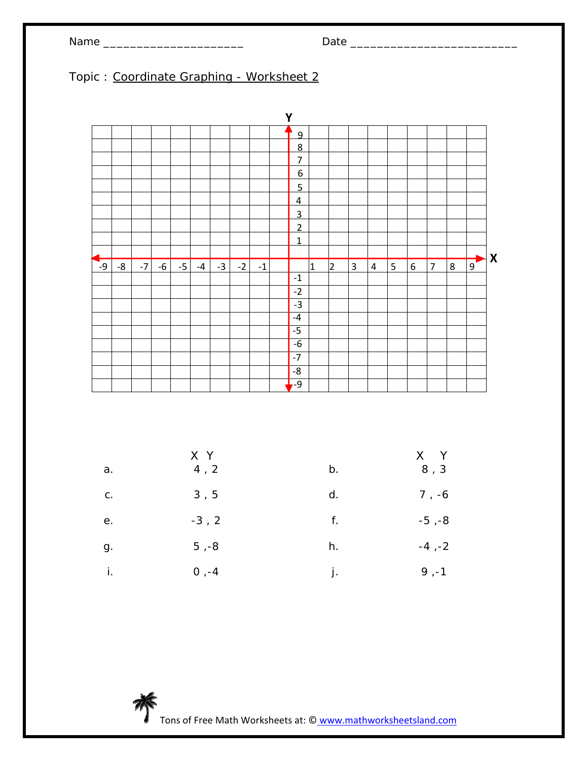# Name \_\_\_\_\_\_\_\_\_\_\_\_\_\_\_\_\_\_\_\_\_ Date \_\_\_\_\_\_\_\_\_\_\_\_\_\_\_\_\_\_\_\_\_\_\_\_\_

### Topic : Coordinate Graphing - Worksheet 2

|      |    |      |      |      |      |      |      |      | Y              |              |                |   |                |   |   |                |   |                |                           |
|------|----|------|------|------|------|------|------|------|----------------|--------------|----------------|---|----------------|---|---|----------------|---|----------------|---------------------------|
|      |    |      |      |      |      |      |      |      | $\overline{9}$ |              |                |   |                |   |   |                |   |                |                           |
|      |    |      |      |      |      |      |      |      | 8              |              |                |   |                |   |   |                |   |                |                           |
|      |    |      |      |      |      |      |      |      | $\overline{7}$ |              |                |   |                |   |   |                |   |                |                           |
|      |    |      |      |      |      |      |      |      | 6              |              |                |   |                |   |   |                |   |                |                           |
|      |    |      |      |      |      |      |      |      | $\overline{5}$ |              |                |   |                |   |   |                |   |                |                           |
|      |    |      |      |      |      |      |      |      | $\overline{4}$ |              |                |   |                |   |   |                |   |                |                           |
|      |    |      |      |      |      |      |      |      | 3              |              |                |   |                |   |   |                |   |                |                           |
|      |    |      |      |      |      |      |      |      | $\overline{2}$ |              |                |   |                |   |   |                |   |                |                           |
|      |    |      |      |      |      |      |      |      | $\mathbf{1}$   |              |                |   |                |   |   |                |   |                |                           |
|      |    |      |      |      |      |      |      |      |                |              |                |   |                |   |   |                |   |                | $\boldsymbol{\mathsf{X}}$ |
| $-9$ | -8 | $-7$ | $-6$ | $-5$ | $-4$ | $-3$ | $-2$ | $-1$ |                | $\mathbf{1}$ | $\overline{2}$ | 3 | $\overline{4}$ | 5 | 6 | $\overline{7}$ | 8 | $\overline{9}$ |                           |
|      |    |      |      |      |      |      |      |      | $^{\mbox{-}1}$ |              |                |   |                |   |   |                |   |                |                           |
|      |    |      |      |      |      |      |      |      | $-2$           |              |                |   |                |   |   |                |   |                |                           |
|      |    |      |      |      |      |      |      |      | $-3$           |              |                |   |                |   |   |                |   |                |                           |
|      |    |      |      |      |      |      |      |      | $-4$           |              |                |   |                |   |   |                |   |                |                           |
|      |    |      |      |      |      |      |      |      | $-5$           |              |                |   |                |   |   |                |   |                |                           |
|      |    |      |      |      |      |      |      |      | $-6$           |              |                |   |                |   |   |                |   |                |                           |
|      |    |      |      |      |      |      |      |      | $-7$           |              |                |   |                |   |   |                |   |                |                           |
|      |    |      |      |      |      |      |      |      | $-\frac{8}{5}$ |              |                |   |                |   |   |                |   |                |                           |
|      |    |      |      |      |      |      |      |      | -9             |              |                |   |                |   |   |                |   |                |                           |

| a. | X Y<br>4, 2 | b. | $X$ $Y$<br>8, 3 |
|----|-------------|----|-----------------|
| C. | 3, 5        | d. | $7, -6$         |
| е. | $-3, 2$     | f. | $-5, -8$        |
| g. | $5, -8$     | h. | $-4, -2$        |
| i. | $0, -4$     | j. | $9, -1$         |

Tons of Free Math Worksheets at: © www.mathworksheetsland.com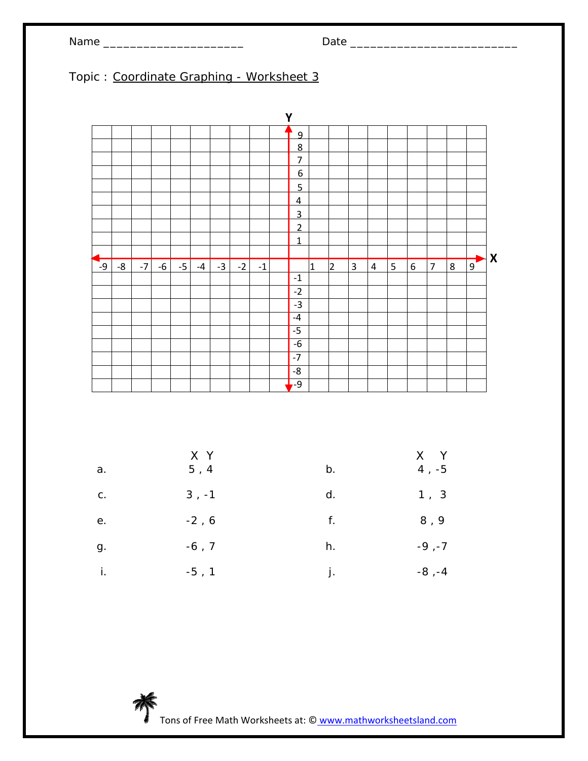# Name \_\_\_\_\_\_\_\_\_\_\_\_\_\_\_\_\_\_\_\_\_ Date \_\_\_\_\_\_\_\_\_\_\_\_\_\_\_\_\_\_\_\_\_\_\_\_\_

### Topic : Coordinate Graphing - Worksheet 3

|           |    |      |      |      |      |      |      |      | Y                |              |                |                |           |   |   |                |   |                |                  |
|-----------|----|------|------|------|------|------|------|------|------------------|--------------|----------------|----------------|-----------|---|---|----------------|---|----------------|------------------|
|           |    |      |      |      |      |      |      |      | 9                |              |                |                |           |   |   |                |   |                |                  |
|           |    |      |      |      |      |      |      |      | 8                |              |                |                |           |   |   |                |   |                |                  |
|           |    |      |      |      |      |      |      |      | $\overline{7}$   |              |                |                |           |   |   |                |   |                |                  |
|           |    |      |      |      |      |      |      |      | $\boldsymbol{6}$ |              |                |                |           |   |   |                |   |                |                  |
|           |    |      |      |      |      |      |      |      | $\overline{5}$   |              |                |                |           |   |   |                |   |                |                  |
|           |    |      |      |      |      |      |      |      | $\overline{4}$   |              |                |                |           |   |   |                |   |                |                  |
|           |    |      |      |      |      |      |      |      | $\overline{3}$   |              |                |                |           |   |   |                |   |                |                  |
|           |    |      |      |      |      |      |      |      | $\overline{2}$   |              |                |                |           |   |   |                |   |                |                  |
|           |    |      |      |      |      |      |      |      | $\overline{1}$   |              |                |                |           |   |   |                |   |                |                  |
|           |    |      |      |      |      |      |      |      |                  |              |                |                |           |   |   |                |   |                | $\boldsymbol{X}$ |
| ┍<br>$-9$ | -8 | $-7$ | $-6$ | $-5$ | $-4$ | $-3$ | $-2$ | $-1$ |                  | $\mathbf{1}$ | $\overline{2}$ | $\overline{3}$ | $\pmb{4}$ | 5 | 6 | $\overline{7}$ | 8 | $\overline{9}$ |                  |
|           |    |      |      |      |      |      |      |      | $^{\mbox{-}}1$   |              |                |                |           |   |   |                |   |                |                  |
|           |    |      |      |      |      |      |      |      | $-2$             |              |                |                |           |   |   |                |   |                |                  |
|           |    |      |      |      |      |      |      |      | $-3$             |              |                |                |           |   |   |                |   |                |                  |
|           |    |      |      |      |      |      |      |      | $-4$             |              |                |                |           |   |   |                |   |                |                  |
|           |    |      |      |      |      |      |      |      | $-5$             |              |                |                |           |   |   |                |   |                |                  |
|           |    |      |      |      |      |      |      |      | $-6$             |              |                |                |           |   |   |                |   |                |                  |
|           |    |      |      |      |      |      |      |      | $-7$             |              |                |                |           |   |   |                |   |                |                  |
|           |    |      |      |      |      |      |      |      | $\mbox{-}8$      |              |                |                |           |   |   |                |   |                |                  |
|           |    |      |      |      |      |      |      |      | $-9$             |              |                |                |           |   |   |                |   |                |                  |

|    | X Y     |    | $X$ $Y$  |
|----|---------|----|----------|
| a. | 5, 4    | b. | $4, -5$  |
| С. | $3, -1$ | d. | 1, 3     |
| е. | $-2, 6$ | f. | 8,9      |
| g. | $-6, 7$ | h. | $-9, -7$ |
| i. | $-5, 1$ | j. | $-8, -4$ |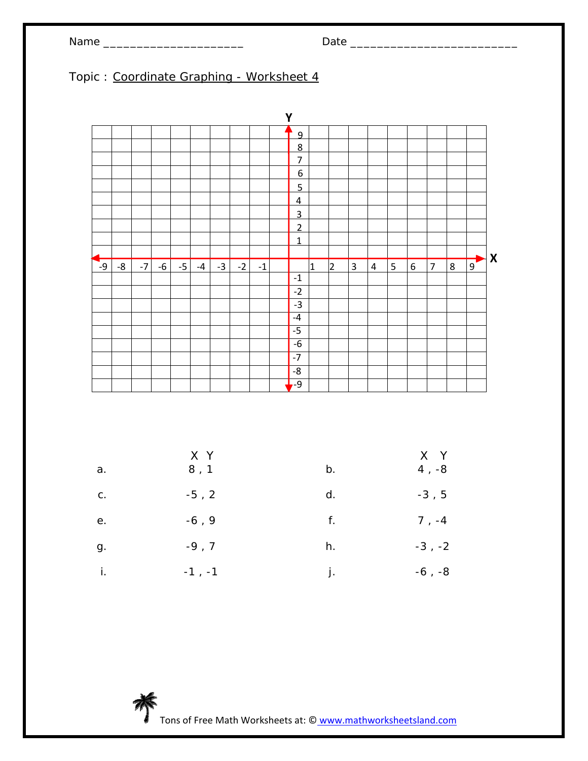# Name \_\_\_\_\_\_\_\_\_\_\_\_\_\_\_\_\_\_\_\_\_ Date \_\_\_\_\_\_\_\_\_\_\_\_\_\_\_\_\_\_\_\_\_\_\_\_\_

### Topic : Coordinate Graphing - Worksheet 4

|           |    |      |      |      |      |      |      |                | Y              |              |                |                |           |   |   |                |   |                |                           |
|-----------|----|------|------|------|------|------|------|----------------|----------------|--------------|----------------|----------------|-----------|---|---|----------------|---|----------------|---------------------------|
|           |    |      |      |      |      |      |      |                | 9              |              |                |                |           |   |   |                |   |                |                           |
|           |    |      |      |      |      |      |      |                | 8              |              |                |                |           |   |   |                |   |                |                           |
|           |    |      |      |      |      |      |      |                | $\overline{7}$ |              |                |                |           |   |   |                |   |                |                           |
|           |    |      |      |      |      |      |      |                | 6              |              |                |                |           |   |   |                |   |                |                           |
|           |    |      |      |      |      |      |      |                | $\overline{5}$ |              |                |                |           |   |   |                |   |                |                           |
|           |    |      |      |      |      |      |      |                | $\overline{4}$ |              |                |                |           |   |   |                |   |                |                           |
|           |    |      |      |      |      |      |      |                | $\overline{3}$ |              |                |                |           |   |   |                |   |                |                           |
|           |    |      |      |      |      |      |      |                | $\overline{2}$ |              |                |                |           |   |   |                |   |                |                           |
|           |    |      |      |      |      |      |      |                | $\mathbf{1}$   |              |                |                |           |   |   |                |   |                |                           |
|           |    |      |      |      |      |      |      |                |                |              |                |                |           |   |   |                |   |                | $\boldsymbol{\mathsf{X}}$ |
| ┍<br>$-9$ | -8 | $-7$ | $-6$ | $-5$ | $-4$ | $-3$ | $-2$ | $^{\mbox{-}1}$ |                | $\mathbf{1}$ | $\overline{2}$ | $\overline{3}$ | $\pmb{4}$ | 5 | 6 | $\overline{7}$ | 8 | $\overline{9}$ |                           |
|           |    |      |      |      |      |      |      |                | $^{\mbox{-}}1$ |              |                |                |           |   |   |                |   |                |                           |
|           |    |      |      |      |      |      |      |                | $-2$           |              |                |                |           |   |   |                |   |                |                           |
|           |    |      |      |      |      |      |      |                | $-3$           |              |                |                |           |   |   |                |   |                |                           |
|           |    |      |      |      |      |      |      |                | $-4$           |              |                |                |           |   |   |                |   |                |                           |
|           |    |      |      |      |      |      |      |                | $-5$           |              |                |                |           |   |   |                |   |                |                           |
|           |    |      |      |      |      |      |      |                | $-6$           |              |                |                |           |   |   |                |   |                |                           |
|           |    |      |      |      |      |      |      |                | $-7$           |              |                |                |           |   |   |                |   |                |                           |
|           |    |      |      |      |      |      |      |                | $\mbox{-}8$    |              |                |                |           |   |   |                |   |                |                           |
|           |    |      |      |      |      |      |      |                | $-9$           |              |                |                |           |   |   |                |   |                |                           |

| a. | X Y<br>8, 1 | b. | X Y<br>$4, -8$ |
|----|-------------|----|----------------|
| C. | $-5, 2$     | d. | $-3, 5$        |
| е. | $-6, 9$     | f. | $7, -4$        |
| g. | $-9, 7$     | h. | $-3$ , $-2$    |
| İ. | $-1$ , $-1$ | j. | $-6, -8$       |